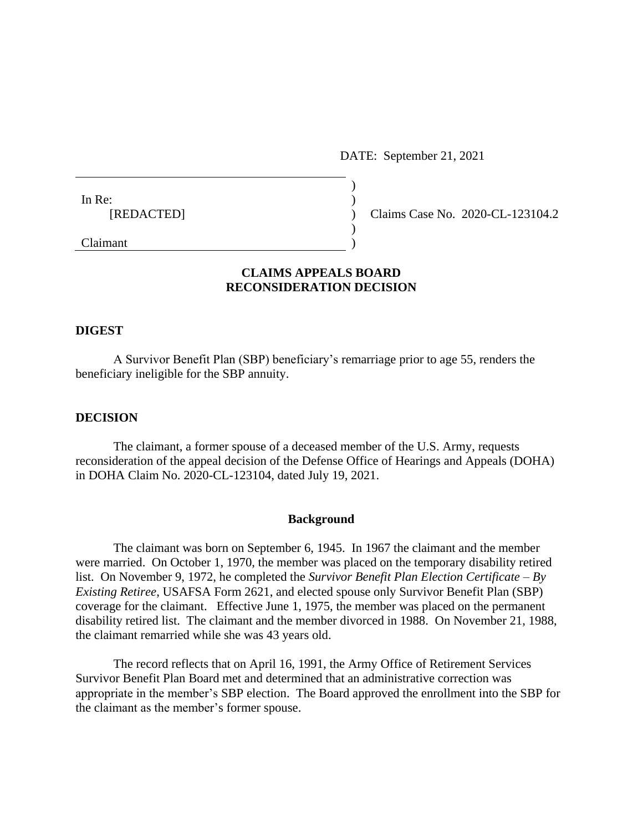DATE: September 21, 2021

| In Re:                                                     |  |
|------------------------------------------------------------|--|
| [REDACTED]                                                 |  |
|                                                            |  |
| $\sim$ $\cdot$<br>the contract of the contract of the con- |  |

) Claims Case No. 2020-CL-123104.2

# Claimant )

## **CLAIMS APPEALS BOARD RECONSIDERATION DECISION**

### **DIGEST**

A Survivor Benefit Plan (SBP) beneficiary's remarriage prior to age 55, renders the beneficiary ineligible for the SBP annuity.

#### **DECISION**

The claimant, a former spouse of a deceased member of the U.S. Army, requests reconsideration of the appeal decision of the Defense Office of Hearings and Appeals (DOHA) in DOHA Claim No. 2020-CL-123104, dated July 19, 2021.

#### **Background**

The claimant was born on September 6, 1945. In 1967 the claimant and the member were married. On October 1, 1970, the member was placed on the temporary disability retired list. On November 9, 1972, he completed the *Survivor Benefit Plan Election Certificate – By Existing Retiree*, USAFSA Form 2621, and elected spouse only Survivor Benefit Plan (SBP) coverage for the claimant. Effective June 1, 1975, the member was placed on the permanent disability retired list. The claimant and the member divorced in 1988. On November 21, 1988, the claimant remarried while she was 43 years old.

The record reflects that on April 16, 1991, the Army Office of Retirement Services Survivor Benefit Plan Board met and determined that an administrative correction was appropriate in the member's SBP election. The Board approved the enrollment into the SBP for the claimant as the member's former spouse.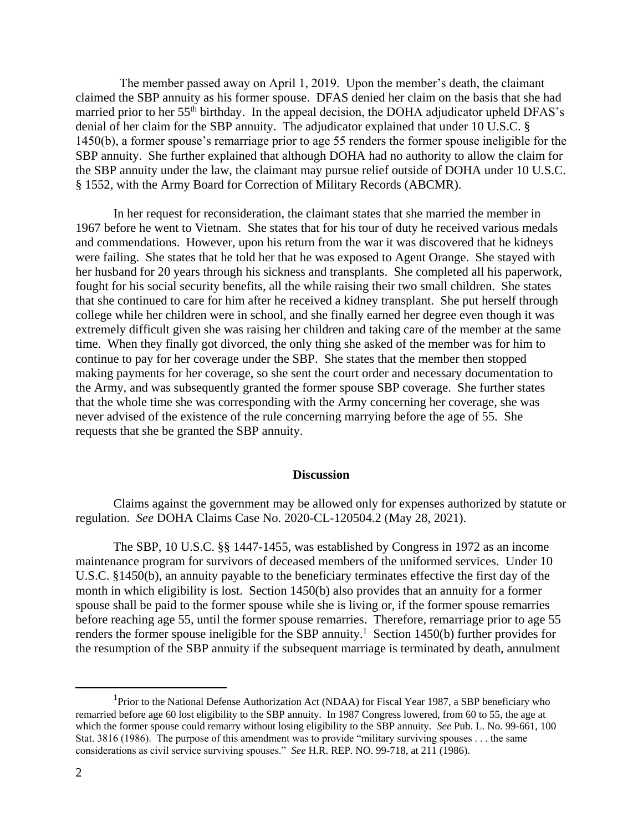The member passed away on April 1, 2019. Upon the member's death, the claimant claimed the SBP annuity as his former spouse. DFAS denied her claim on the basis that she had married prior to her 55<sup>th</sup> birthday. In the appeal decision, the DOHA adjudicator upheld DFAS's denial of her claim for the SBP annuity. The adjudicator explained that under 10 U.S.C. § 1450(b), a former spouse's remarriage prior to age 55 renders the former spouse ineligible for the SBP annuity. She further explained that although DOHA had no authority to allow the claim for the SBP annuity under the law, the claimant may pursue relief outside of DOHA under 10 U.S.C. § 1552, with the Army Board for Correction of Military Records (ABCMR).

In her request for reconsideration, the claimant states that she married the member in 1967 before he went to Vietnam. She states that for his tour of duty he received various medals and commendations. However, upon his return from the war it was discovered that he kidneys were failing. She states that he told her that he was exposed to Agent Orange. She stayed with her husband for 20 years through his sickness and transplants. She completed all his paperwork, fought for his social security benefits, all the while raising their two small children. She states that she continued to care for him after he received a kidney transplant. She put herself through college while her children were in school, and she finally earned her degree even though it was extremely difficult given she was raising her children and taking care of the member at the same time. When they finally got divorced, the only thing she asked of the member was for him to continue to pay for her coverage under the SBP. She states that the member then stopped making payments for her coverage, so she sent the court order and necessary documentation to the Army, and was subsequently granted the former spouse SBP coverage. She further states that the whole time she was corresponding with the Army concerning her coverage, she was never advised of the existence of the rule concerning marrying before the age of 55. She requests that she be granted the SBP annuity.

#### **Discussion**

Claims against the government may be allowed only for expenses authorized by statute or regulation. *See* DOHA Claims Case No. 2020-CL-120504.2 (May 28, 2021).

The SBP, 10 U.S.C. §§ 1447-1455, was established by Congress in 1972 as an income maintenance program for survivors of deceased members of the uniformed services. Under 10 U.S.C. §1450(b), an annuity payable to the beneficiary terminates effective the first day of the month in which eligibility is lost. Section 1450(b) also provides that an annuity for a former spouse shall be paid to the former spouse while she is living or, if the former spouse remarries before reaching age 55, until the former spouse remarries. Therefore, remarriage prior to age 55 renders the former spouse ineligible for the SBP annuity.<sup>1</sup> Section 1450(b) further provides for the resumption of the SBP annuity if the subsequent marriage is terminated by death, annulment

 $\overline{\phantom{a}}$ <sup>1</sup>Prior to the National Defense Authorization Act (NDAA) for Fiscal Year 1987, a SBP beneficiary who remarried before age 60 lost eligibility to the SBP annuity. In 1987 Congress lowered, from 60 to 55, the age at which the former spouse could remarry without losing eligibility to the SBP annuity. *See* Pub. L. No. 99-661, 100 Stat. 3816 (1986). The purpose of this amendment was to provide "military surviving spouses . . . the same considerations as civil service surviving spouses." *See* H.R. REP. NO. 99-718, at 211 (1986).